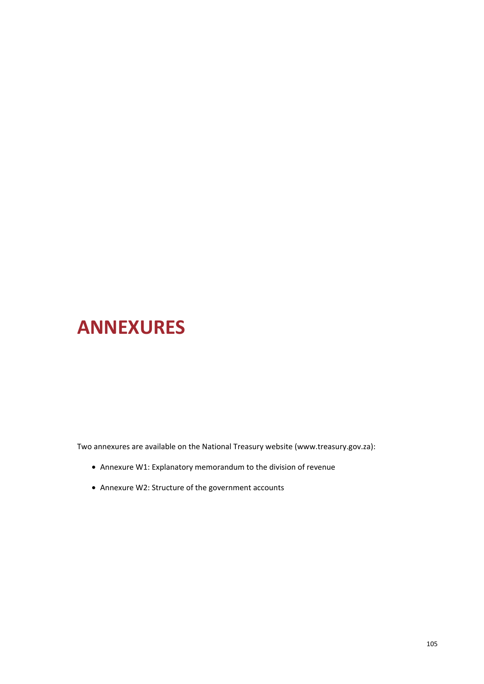# **ANNEXURES**

Two annexures are available on the National Treasury website (www.treasury.gov.za):

- Annexure W1: Explanatory memorandum to the division of revenue
- Annexure W2: Structure of the government accounts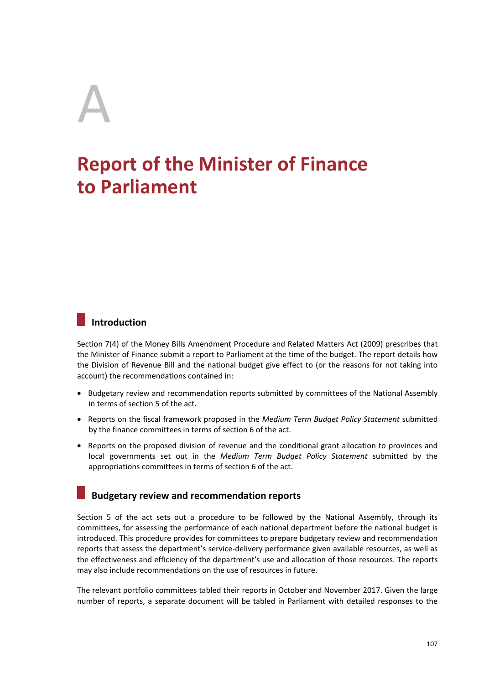# A

# **Report of the Minister of Finance to Parliament**

# **Introduction**

Section 7(4) of the Money Bills Amendment Procedure and Related Matters Act (2009) prescribes that the Minister of Finance submit a report to Parliament at the time of the budget. The report details how the Division of Revenue Bill and the national budget give effect to (or the reasons for not taking into account) the recommendations contained in:

- Budgetary review and recommendation reports submitted by committees of the National Assembly in terms of section 5 of the act.
- Reports on the fiscal framework proposed in the *Medium Term Budget Policy Statement* submitted by the finance committees in terms of section 6 of the act.
- Reports on the proposed division of revenue and the conditional grant allocation to provinces and local governments set out in the *Medium Term Budget Policy Statement* submitted by the appropriations committees in terms of section 6 of the act.

## **Budgetary review and recommendation reports**

Section 5 of the act sets out a procedure to be followed by the National Assembly, through its committees, for assessing the performance of each national department before the national budget is introduced. This procedure provides for committees to prepare budgetary review and recommendation reports that assess the department's service-delivery performance given available resources, as well as the effectiveness and efficiency of the department's use and allocation of those resources. The reports may also include recommendations on the use of resources in future.

The relevant portfolio committees tabled their reports in October and November 2017. Given the large number of reports, a separate document will be tabled in Parliament with detailed responses to the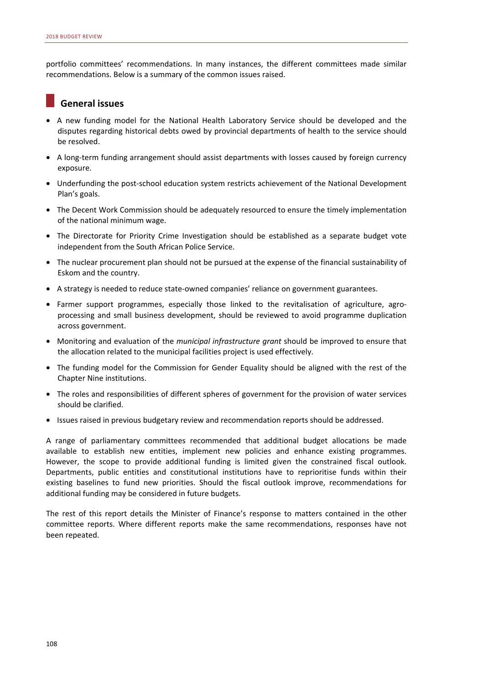portfolio committees' recommendations. In many instances, the different committees made similar recommendations. Below is a summary of the common issues raised.

### **General issues**

- A new funding model for the National Health Laboratory Service should be developed and the disputes regarding historical debts owed by provincial departments of health to the service should be resolved.
- A long-term funding arrangement should assist departments with losses caused by foreign currency exposure.
- Underfunding the post-school education system restricts achievement of the National Development Plan's goals.
- The Decent Work Commission should be adequately resourced to ensure the timely implementation of the national minimum wage.
- The Directorate for Priority Crime Investigation should be established as a separate budget vote independent from the South African Police Service.
- The nuclear procurement plan should not be pursued at the expense of the financial sustainability of Eskom and the country.
- A strategy is needed to reduce state-owned companies' reliance on government guarantees.
- Farmer support programmes, especially those linked to the revitalisation of agriculture, agroprocessing and small business development, should be reviewed to avoid programme duplication across government.
- Monitoring and evaluation of the *municipal infrastructure grant* should be improved to ensure that the allocation related to the municipal facilities project is used effectively.
- The funding model for the Commission for Gender Equality should be aligned with the rest of the Chapter Nine institutions.
- The roles and responsibilities of different spheres of government for the provision of water services should be clarified.
- Issues raised in previous budgetary review and recommendation reports should be addressed.

A range of parliamentary committees recommended that additional budget allocations be made available to establish new entities, implement new policies and enhance existing programmes. However, the scope to provide additional funding is limited given the constrained fiscal outlook. Departments, public entities and constitutional institutions have to reprioritise funds within their existing baselines to fund new priorities. Should the fiscal outlook improve, recommendations for additional funding may be considered in future budgets.

The rest of this report details the Minister of Finance's response to matters contained in the other committee reports. Where different reports make the same recommendations, responses have not been repeated.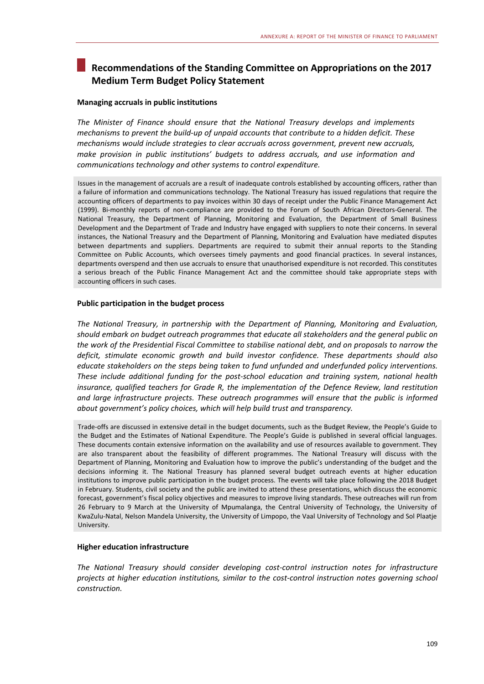# **Recommendations of the Standing Committee on Appropriations on the 2017 Medium Term Budget Policy Statement**

#### **Managing accruals in public institutions**

*The Minister of Finance should ensure that the National Treasury develops and implements mechanisms to prevent the build-up of unpaid accounts that contribute to a hidden deficit. These mechanisms would include strategies to clear accruals across government, prevent new accruals, make provision in public institutions' budgets to address accruals, and use information and communications technology and other systems to control expenditure.* 

Issues in the management of accruals are a result of inadequate controls established by accounting officers, rather than a failure of information and communications technology. The National Treasury has issued regulations that require the accounting officers of departments to pay invoices within 30 days of receipt under the Public Finance Management Act (1999). Bi-monthly reports of non-compliance are provided to the Forum of South African Directors-General. The National Treasury, the Department of Planning, Monitoring and Evaluation, the Department of Small Business Development and the Department of Trade and Industry have engaged with suppliers to note their concerns. In several instances, the National Treasury and the Department of Planning, Monitoring and Evaluation have mediated disputes between departments and suppliers. Departments are required to submit their annual reports to the Standing Committee on Public Accounts, which oversees timely payments and good financial practices. In several instances, departments overspend and then use accruals to ensure that unauthorised expenditure is not recorded. This constitutes a serious breach of the Public Finance Management Act and the committee should take appropriate steps with accounting officers in such cases.

#### **Public participation in the budget process**

*The National Treasury, in partnership with the Department of Planning, Monitoring and Evaluation, should embark on budget outreach programmes that educate all stakeholders and the general public on the work of the Presidential Fiscal Committee to stabilise national debt, and on proposals to narrow the deficit, stimulate economic growth and build investor confidence. These departments should also educate stakeholders on the steps being taken to fund unfunded and underfunded policy interventions. These include additional funding for the post-school education and training system, national health insurance, qualified teachers for Grade R, the implementation of the Defence Review, land restitution and large infrastructure projects. These outreach programmes will ensure that the public is informed about government's policy choices, which will help build trust and transparency.* 

Trade-offs are discussed in extensive detail in the budget documents, such as the Budget Review, the People's Guide to the Budget and the Estimates of National Expenditure. The People's Guide is published in several official languages. These documents contain extensive information on the availability and use of resources available to government. They are also transparent about the feasibility of different programmes. The National Treasury will discuss with the Department of Planning, Monitoring and Evaluation how to improve the public's understanding of the budget and the decisions informing it. The National Treasury has planned several budget outreach events at higher education institutions to improve public participation in the budget process. The events will take place following the 2018 Budget in February. Students, civil society and the public are invited to attend these presentations, which discuss the economic forecast, government's fiscal policy objectives and measures to improve living standards. These outreaches will run from 26 February to 9 March at the University of Mpumalanga, the Central University of Technology, the University of KwaZulu-Natal, Nelson Mandela University, the University of Limpopo, the Vaal University of Technology and Sol Plaatje University.

#### **Higher education infrastructure**

*The National Treasury should consider developing cost-control instruction notes for infrastructure projects at higher education institutions, similar to the cost-control instruction notes governing school construction.*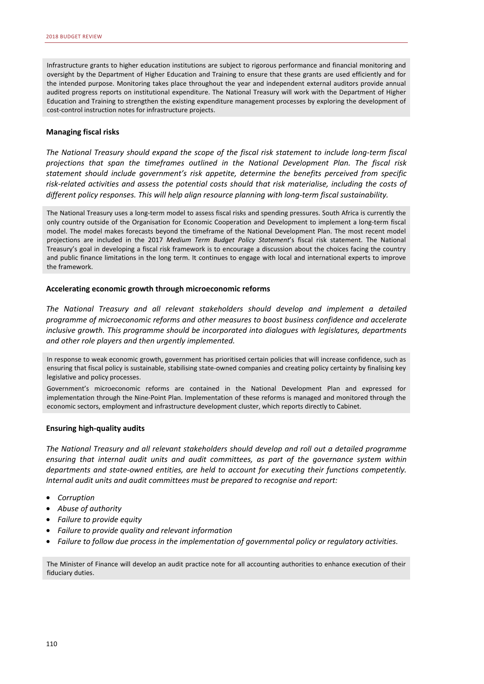Infrastructure grants to higher education institutions are subject to rigorous performance and financial monitoring and oversight by the Department of Higher Education and Training to ensure that these grants are used efficiently and for the intended purpose. Monitoring takes place throughout the year and independent external auditors provide annual audited progress reports on institutional expenditure. The National Treasury will work with the Department of Higher Education and Training to strengthen the existing expenditure management processes by exploring the development of cost-control instruction notes for infrastructure projects.

#### **Managing fiscal risks**

*The National Treasury should expand the scope of the fiscal risk statement to include long-term fiscal projections that span the timeframes outlined in the National Development Plan. The fiscal risk statement should include government's risk appetite, determine the benefits perceived from specific risk-related activities and assess the potential costs should that risk materialise, including the costs of different policy responses. This will help align resource planning with long-term fiscal sustainability.* 

The National Treasury uses a long-term model to assess fiscal risks and spending pressures. South Africa is currently the only country outside of the Organisation for Economic Cooperation and Development to implement a long-term fiscal model. The model makes forecasts beyond the timeframe of the National Development Plan. The most recent model projections are included in the 2017 *Medium Term Budget Policy Statement*'s fiscal risk statement. The National Treasury's goal in developing a fiscal risk framework is to encourage a discussion about the choices facing the country and public finance limitations in the long term. It continues to engage with local and international experts to improve the framework.

#### **Accelerating economic growth through microeconomic reforms**

*The National Treasury and all relevant stakeholders should develop and implement a detailed programme of microeconomic reforms and other measures to boost business confidence and accelerate inclusive growth. This programme should be incorporated into dialogues with legislatures, departments and other role players and then urgently implemented.* 

In response to weak economic growth, government has prioritised certain policies that will increase confidence, such as ensuring that fiscal policy is sustainable, stabilising state-owned companies and creating policy certainty by finalising key legislative and policy processes.

Government's microeconomic reforms are contained in the National Development Plan and expressed for implementation through the Nine-Point Plan. Implementation of these reforms is managed and monitored through the economic sectors, employment and infrastructure development cluster, which reports directly to Cabinet.

#### **Ensuring high-quality audits**

*The National Treasury and all relevant stakeholders should develop and roll out a detailed programme ensuring that internal audit units and audit committees, as part of the governance system within departments and state-owned entities, are held to account for executing their functions competently. Internal audit units and audit committees must be prepared to recognise and report:* 

- *Corruption*
- *Abuse of authority*
- *Failure to provide equity*
- *Failure to provide quality and relevant information*
- *Failure to follow due process in the implementation of governmental policy or regulatory activities.*

The Minister of Finance will develop an audit practice note for all accounting authorities to enhance execution of their fiduciary duties.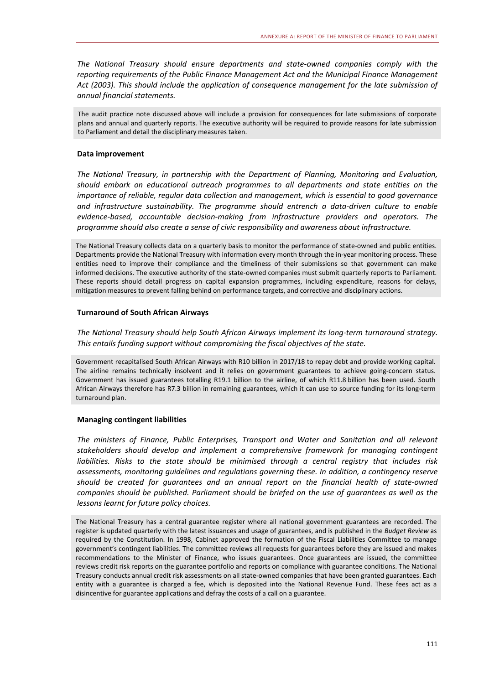*The National Treasury should ensure departments and state-owned companies comply with the reporting requirements of the Public Finance Management Act and the Municipal Finance Management Act (2003). This should include the application of consequence management for the late submission of annual financial statements.* 

The audit practice note discussed above will include a provision for consequences for late submissions of corporate plans and annual and quarterly reports. The executive authority will be required to provide reasons for late submission to Parliament and detail the disciplinary measures taken.

#### **Data improvement**

*The National Treasury, in partnership with the Department of Planning, Monitoring and Evaluation, should embark on educational outreach programmes to all departments and state entities on the importance of reliable, regular data collection and management, which is essential to good governance and infrastructure sustainability. The programme should entrench a data-driven culture to enable evidence-based, accountable decision-making from infrastructure providers and operators. The programme should also create a sense of civic responsibility and awareness about infrastructure.* 

The National Treasury collects data on a quarterly basis to monitor the performance of state-owned and public entities. Departments provide the National Treasury with information every month through the in-year monitoring process. These entities need to improve their compliance and the timeliness of their submissions so that government can make informed decisions. The executive authority of the state-owned companies must submit quarterly reports to Parliament. These reports should detail progress on capital expansion programmes, including expenditure, reasons for delays, mitigation measures to prevent falling behind on performance targets, and corrective and disciplinary actions.

#### **Turnaround of South African Airways**

*The National Treasury should help South African Airways implement its long-term turnaround strategy. This entails funding support without compromising the fiscal objectives of the state.* 

Government recapitalised South African Airways with R10 billion in 2017/18 to repay debt and provide working capital. The airline remains technically insolvent and it relies on government guarantees to achieve going-concern status. Government has issued guarantees totalling R19.1 billion to the airline, of which R11.8 billion has been used. South African Airways therefore has R7.3 billion in remaining guarantees, which it can use to source funding for its long-term turnaround plan.

#### **Managing contingent liabilities**

*The ministers of Finance, Public Enterprises, Transport and Water and Sanitation and all relevant stakeholders should develop and implement a comprehensive framework for managing contingent liabilities. Risks to the state should be minimised through a central registry that includes risk assessments, monitoring guidelines and regulations governing these. In addition, a contingency reserve should be created for guarantees and an annual report on the financial health of state-owned companies should be published. Parliament should be briefed on the use of guarantees as well as the lessons learnt for future policy choices.* 

The National Treasury has a central guarantee register where all national government guarantees are recorded. The register is updated quarterly with the latest issuances and usage of guarantees, and is published in the *Budget Review* as required by the Constitution. In 1998, Cabinet approved the formation of the Fiscal Liabilities Committee to manage government's contingent liabilities. The committee reviews all requests for guarantees before they are issued and makes recommendations to the Minister of Finance, who issues guarantees. Once guarantees are issued, the committee reviews credit risk reports on the guarantee portfolio and reports on compliance with guarantee conditions. The National Treasury conducts annual credit risk assessments on all state-owned companies that have been granted guarantees. Each entity with a guarantee is charged a fee, which is deposited into the National Revenue Fund. These fees act as a disincentive for guarantee applications and defray the costs of a call on a guarantee.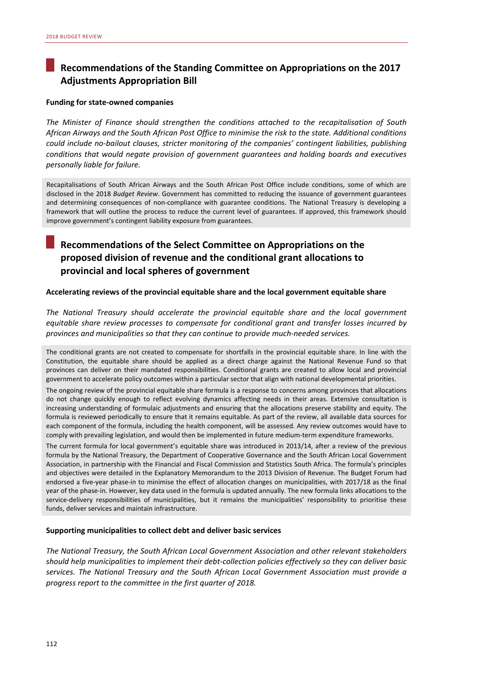# **Recommendations of the Standing Committee on Appropriations on the 2017 Adjustments Appropriation Bill**

#### **Funding for state-owned companies**

*The Minister of Finance should strengthen the conditions attached to the recapitalisation of South African Airways and the South African Post Office to minimise the risk to the state. Additional conditions could include no-bailout clauses, stricter monitoring of the companies' contingent liabilities, publishing conditions that would negate provision of government guarantees and holding boards and executives personally liable for failure.* 

Recapitalisations of South African Airways and the South African Post Office include conditions, some of which are disclosed in the 2018 *Budget Review*. Government has committed to reducing the issuance of government guarantees and determining consequences of non-compliance with guarantee conditions. The National Treasury is developing a framework that will outline the process to reduce the current level of guarantees. If approved, this framework should improve government's contingent liability exposure from guarantees.

## **Recommendations of the Select Committee on Appropriations on the proposed division of revenue and the conditional grant allocations to provincial and local spheres of government**

#### **Accelerating reviews of the provincial equitable share and the local government equitable share**

*The National Treasury should accelerate the provincial equitable share and the local government equitable share review processes to compensate for conditional grant and transfer losses incurred by provinces and municipalities so that they can continue to provide much-needed services.* 

The conditional grants are not created to compensate for shortfalls in the provincial equitable share. In line with the Constitution, the equitable share should be applied as a direct charge against the National Revenue Fund so that provinces can deliver on their mandated responsibilities. Conditional grants are created to allow local and provincial government to accelerate policy outcomes within a particular sector that align with national developmental priorities.

The ongoing review of the provincial equitable share formula is a response to concerns among provinces that allocations do not change quickly enough to reflect evolving dynamics affecting needs in their areas. Extensive consultation is increasing understanding of formulaic adjustments and ensuring that the allocations preserve stability and equity. The formula is reviewed periodically to ensure that it remains equitable. As part of the review, all available data sources for each component of the formula, including the health component, will be assessed. Any review outcomes would have to comply with prevailing legislation, and would then be implemented in future medium-term expenditure frameworks.

The current formula for local government's equitable share was introduced in 2013/14, after a review of the previous formula by the National Treasury, the Department of Cooperative Governance and the South African Local Government Association, in partnership with the Financial and Fiscal Commission and Statistics South Africa. The formula's principles and objectives were detailed in the Explanatory Memorandum to the 2013 Division of Revenue. The Budget Forum had endorsed a five-year phase-in to minimise the effect of allocation changes on municipalities, with 2017/18 as the final year of the phase-in. However, key data used in the formula is updated annually. The new formula links allocations to the service-delivery responsibilities of municipalities, but it remains the municipalities' responsibility to prioritise these funds, deliver services and maintain infrastructure.

#### **Supporting municipalities to collect debt and deliver basic services**

*The National Treasury, the South African Local Government Association and other relevant stakeholders should help municipalities to implement their debt-collection policies effectively so they can deliver basic services. The National Treasury and the South African Local Government Association must provide a progress report to the committee in the first quarter of 2018.*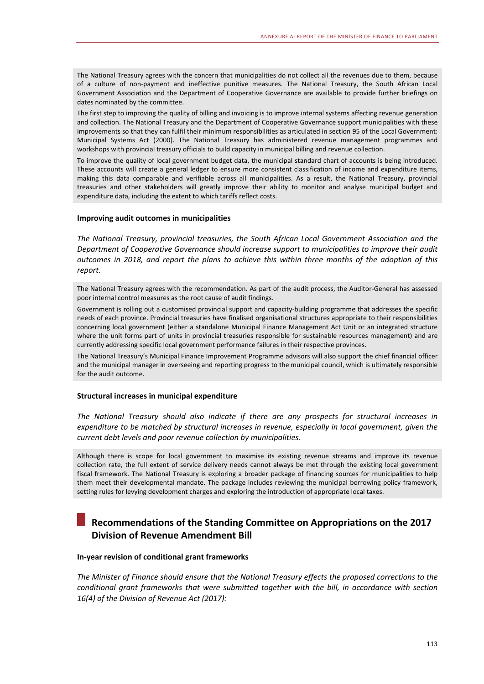The National Treasury agrees with the concern that municipalities do not collect all the revenues due to them, because of a culture of non-payment and ineffective punitive measures. The National Treasury, the South African Local Government Association and the Department of Cooperative Governance are available to provide further briefings on dates nominated by the committee.

The first step to improving the quality of billing and invoicing is to improve internal systems affecting revenue generation and collection. The National Treasury and the Department of Cooperative Governance support municipalities with these improvements so that they can fulfil their minimum responsibilities as articulated in section 95 of the Local Government: Municipal Systems Act (2000). The National Treasury has administered revenue management programmes and workshops with provincial treasury officials to build capacity in municipal billing and revenue collection.

To improve the quality of local government budget data, the municipal standard chart of accounts is being introduced. These accounts will create a general ledger to ensure more consistent classification of income and expenditure items, making this data comparable and verifiable across all municipalities. As a result, the National Treasury, provincial treasuries and other stakeholders will greatly improve their ability to monitor and analyse municipal budget and expenditure data, including the extent to which tariffs reflect costs.

#### **Improving audit outcomes in municipalities**

*The National Treasury, provincial treasuries, the South African Local Government Association and the Department of Cooperative Governance should increase support to municipalities to improve their audit outcomes in 2018, and report the plans to achieve this within three months of the adoption of this report.* 

The National Treasury agrees with the recommendation. As part of the audit process, the Auditor-General has assessed poor internal control measures as the root cause of audit findings.

Government is rolling out a customised provincial support and capacity-building programme that addresses the specific needs of each province. Provincial treasuries have finalised organisational structures appropriate to their responsibilities concerning local government (either a standalone Municipal Finance Management Act Unit or an integrated structure where the unit forms part of units in provincial treasuries responsible for sustainable resources management) and are currently addressing specific local government performance failures in their respective provinces.

The National Treasury's Municipal Finance Improvement Programme advisors will also support the chief financial officer and the municipal manager in overseeing and reporting progress to the municipal council, which is ultimately responsible for the audit outcome.

#### **Structural increases in municipal expenditure**

*The National Treasury should also indicate if there are any prospects for structural increases in expenditure to be matched by structural increases in revenue, especially in local government, given the current debt levels and poor revenue collection by municipalities*.

Although there is scope for local government to maximise its existing revenue streams and improve its revenue collection rate, the full extent of service delivery needs cannot always be met through the existing local government fiscal framework. The National Treasury is exploring a broader package of financing sources for municipalities to help them meet their developmental mandate. The package includes reviewing the municipal borrowing policy framework, setting rules for levying development charges and exploring the introduction of appropriate local taxes.

# **Recommendations of the Standing Committee on Appropriations on the 2017 Division of Revenue Amendment Bill**

#### **In-year revision of conditional grant frameworks**

*The Minister of Finance should ensure that the National Treasury effects the proposed corrections to the conditional grant frameworks that were submitted together with the bill, in accordance with section 16(4) of the Division of Revenue Act (2017):*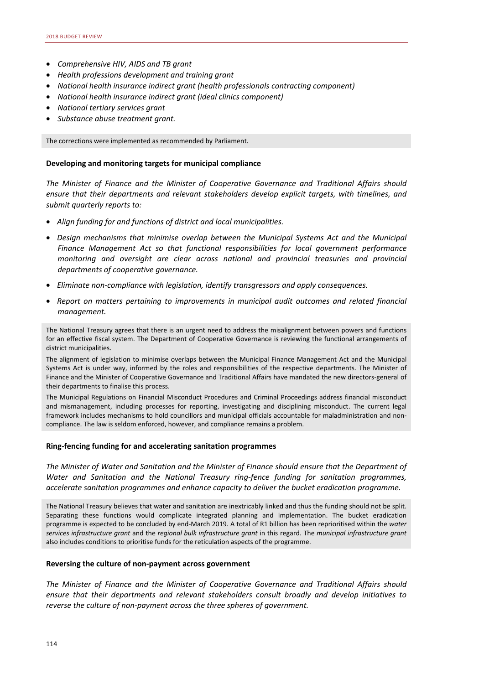- *Comprehensive HIV, AIDS and TB grant*
- *Health professions development and training grant*
- *National health insurance indirect grant (health professionals contracting component)*
- *National health insurance indirect grant (ideal clinics component)*
- *National tertiary services grant*
- *Substance abuse treatment grant.*

The corrections were implemented as recommended by Parliament.

#### **Developing and monitoring targets for municipal compliance**

*The Minister of Finance and the Minister of Cooperative Governance and Traditional Affairs should ensure that their departments and relevant stakeholders develop explicit targets, with timelines, and submit quarterly reports to:* 

- *Align funding for and functions of district and local municipalities.*
- *Design mechanisms that minimise overlap between the Municipal Systems Act and the Municipal Finance Management Act so that functional responsibilities for local government performance monitoring and oversight are clear across national and provincial treasuries and provincial departments of cooperative governance.*
- *Eliminate non-compliance with legislation, identify transgressors and apply consequences.*
- *Report on matters pertaining to improvements in municipal audit outcomes and related financial management.*

The National Treasury agrees that there is an urgent need to address the misalignment between powers and functions for an effective fiscal system. The Department of Cooperative Governance is reviewing the functional arrangements of district municipalities.

The alignment of legislation to minimise overlaps between the Municipal Finance Management Act and the Municipal Systems Act is under way, informed by the roles and responsibilities of the respective departments. The Minister of Finance and the Minister of Cooperative Governance and Traditional Affairs have mandated the new directors-general of their departments to finalise this process.

The Municipal Regulations on Financial Misconduct Procedures and Criminal Proceedings address financial misconduct and mismanagement, including processes for reporting, investigating and disciplining misconduct. The current legal framework includes mechanisms to hold councillors and municipal officials accountable for maladministration and noncompliance. The law is seldom enforced, however, and compliance remains a problem.

#### **Ring-fencing funding for and accelerating sanitation programmes**

*The Minister of Water and Sanitation and the Minister of Finance should ensure that the Department of Water and Sanitation and the National Treasury ring-fence funding for sanitation programmes, accelerate sanitation programmes and enhance capacity to deliver the bucket eradication programme.* 

The National Treasury believes that water and sanitation are inextricably linked and thus the funding should not be split. Separating these functions would complicate integrated planning and implementation. The bucket eradication programme is expected to be concluded by end-March 2019. A total of R1 billion has been reprioritised within the *water services infrastructure grant* and the *regional bulk infrastructure grant* in this regard. The *municipal infrastructure grant*  also includes conditions to prioritise funds for the reticulation aspects of the programme.

#### **Reversing the culture of non-payment across government**

*The Minister of Finance and the Minister of Cooperative Governance and Traditional Affairs should ensure that their departments and relevant stakeholders consult broadly and develop initiatives to reverse the culture of non-payment across the three spheres of government.*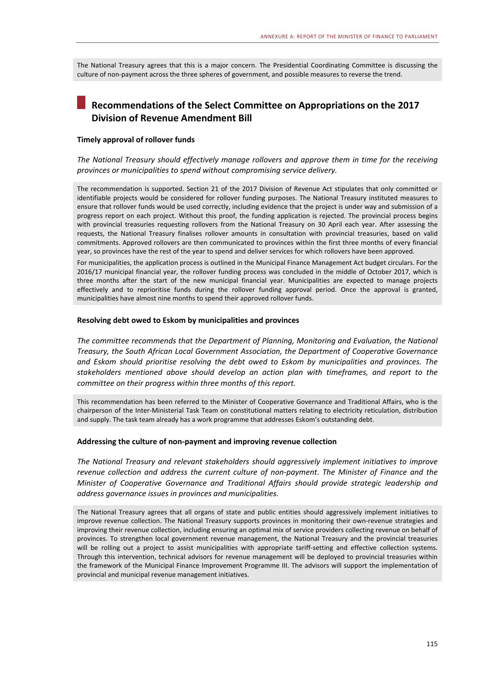The National Treasury agrees that this is a major concern. The Presidential Coordinating Committee is discussing the culture of non-payment across the three spheres of government, and possible measures to reverse the trend.

# **Recommendations of the Select Committee on Appropriations on the 2017 Division of Revenue Amendment Bill**

#### **Timely approval of rollover funds**

*The National Treasury should effectively manage rollovers and approve them in time for the receiving provinces or municipalities to spend without compromising service delivery.* 

The recommendation is supported. Section 21 of the 2017 Division of Revenue Act stipulates that only committed or identifiable projects would be considered for rollover funding purposes. The National Treasury instituted measures to ensure that rollover funds would be used correctly, including evidence that the project is under way and submission of a progress report on each project. Without this proof, the funding application is rejected. The provincial process begins with provincial treasuries requesting rollovers from the National Treasury on 30 April each year. After assessing the requests, the National Treasury finalises rollover amounts in consultation with provincial treasuries, based on valid commitments. Approved rollovers are then communicated to provinces within the first three months of every financial year, so provinces have the rest of the year to spend and deliver services for which rollovers have been approved.

For municipalities, the application process is outlined in the Municipal Finance Management Act budget circulars. For the 2016/17 municipal financial year, the rollover funding process was concluded in the middle of October 2017, which is three months after the start of the new municipal financial year. Municipalities are expected to manage projects effectively and to reprioritise funds during the rollover funding approval period. Once the approval is granted, municipalities have almost nine months to spend their approved rollover funds.

#### **Resolving debt owed to Eskom by municipalities and provinces**

*The committee recommends that the Department of Planning, Monitoring and Evaluation, the National Treasury, the South African Local Government Association, the Department of Cooperative Governance and Eskom should prioritise resolving the debt owed to Eskom by municipalities and provinces. The stakeholders mentioned above should develop an action plan with timeframes, and report to the committee on their progress within three months of this report.*

This recommendation has been referred to the Minister of Cooperative Governance and Traditional Affairs, who is the chairperson of the Inter-Ministerial Task Team on constitutional matters relating to electricity reticulation, distribution and supply. The task team already has a work programme that addresses Eskom's outstanding debt.

#### **Addressing the culture of non-payment and improving revenue collection**

*The National Treasury and relevant stakeholders should aggressively implement initiatives to improve revenue collection and address the current culture of non-payment. The Minister of Finance and the Minister of Cooperative Governance and Traditional Affairs should provide strategic leadership and address governance issues in provinces and municipalities.* 

The National Treasury agrees that all organs of state and public entities should aggressively implement initiatives to improve revenue collection. The National Treasury supports provinces in monitoring their own-revenue strategies and improving their revenue collection, including ensuring an optimal mix of service providers collecting revenue on behalf of provinces. To strengthen local government revenue management, the National Treasury and the provincial treasuries will be rolling out a project to assist municipalities with appropriate tariff-setting and effective collection systems. Through this intervention, technical advisors for revenue management will be deployed to provincial treasuries within the framework of the Municipal Finance Improvement Programme III. The advisors will support the implementation of provincial and municipal revenue management initiatives.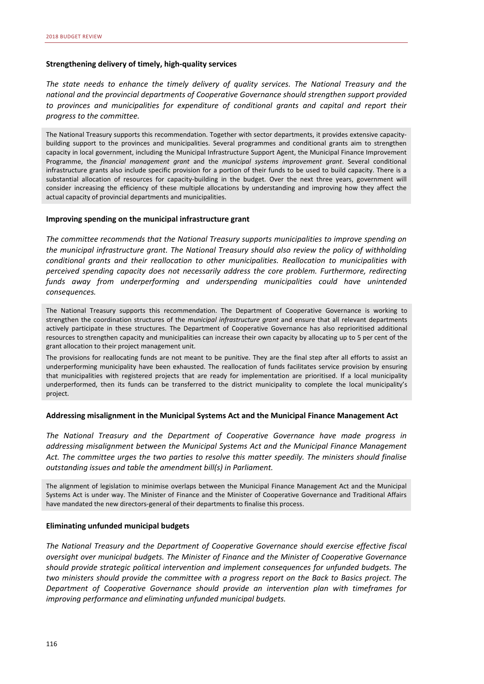#### **Strengthening delivery of timely, high-quality services**

*The state needs to enhance the timely delivery of quality services. The National Treasury and the national and the provincial departments of Cooperative Governance should strengthen support provided to provinces and municipalities for expenditure of conditional grants and capital and report their progress to the committee.* 

The National Treasury supports this recommendation. Together with sector departments, it provides extensive capacitybuilding support to the provinces and municipalities. Several programmes and conditional grants aim to strengthen capacity in local government, including the Municipal Infrastructure Support Agent, the Municipal Finance Improvement Programme, the *financial management grant* and the *municipal systems improvement grant*. Several conditional infrastructure grants also include specific provision for a portion of their funds to be used to build capacity. There is a substantial allocation of resources for capacity-building in the budget. Over the next three years, government will consider increasing the efficiency of these multiple allocations by understanding and improving how they affect the actual capacity of provincial departments and municipalities.

#### **Improving spending on the municipal infrastructure grant**

*The committee recommends that the National Treasury supports municipalities to improve spending on the municipal infrastructure grant. The National Treasury should also review the policy of withholding conditional grants and their reallocation to other municipalities. Reallocation to municipalities with perceived spending capacity does not necessarily address the core problem. Furthermore, redirecting funds away from underperforming and underspending municipalities could have unintended consequences.* 

The National Treasury supports this recommendation. The Department of Cooperative Governance is working to strengthen the coordination structures of the *municipal infrastructure grant* and ensure that all relevant departments actively participate in these structures. The Department of Cooperative Governance has also reprioritised additional resources to strengthen capacity and municipalities can increase their own capacity by allocating up to 5 per cent of the grant allocation to their project management unit.

The provisions for reallocating funds are not meant to be punitive. They are the final step after all efforts to assist an underperforming municipality have been exhausted. The reallocation of funds facilitates service provision by ensuring that municipalities with registered projects that are ready for implementation are prioritised. If a local municipality underperformed, then its funds can be transferred to the district municipality to complete the local municipality's project.

#### **Addressing misalignment in the Municipal Systems Act and the Municipal Finance Management Act**

*The National Treasury and the Department of Cooperative Governance have made progress in addressing misalignment between the Municipal Systems Act and the Municipal Finance Management Act. The committee urges the two parties to resolve this matter speedily. The ministers should finalise outstanding issues and table the amendment bill(s) in Parliament.* 

The alignment of legislation to minimise overlaps between the Municipal Finance Management Act and the Municipal Systems Act is under way. The Minister of Finance and the Minister of Cooperative Governance and Traditional Affairs have mandated the new directors-general of their departments to finalise this process.

#### **Eliminating unfunded municipal budgets**

*The National Treasury and the Department of Cooperative Governance should exercise effective fiscal oversight over municipal budgets. The Minister of Finance and the Minister of Cooperative Governance should provide strategic political intervention and implement consequences for unfunded budgets. The two ministers should provide the committee with a progress report on the Back to Basics project. The Department of Cooperative Governance should provide an intervention plan with timeframes for improving performance and eliminating unfunded municipal budgets.*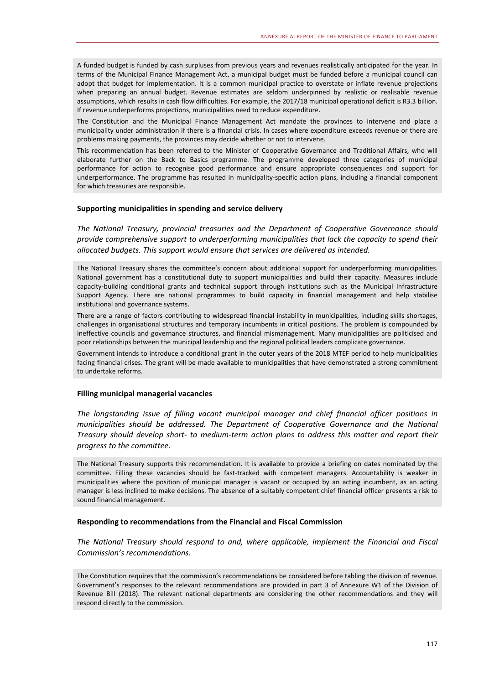A funded budget is funded by cash surpluses from previous years and revenues realistically anticipated for the year. In terms of the Municipal Finance Management Act, a municipal budget must be funded before a municipal council can adopt that budget for implementation. It is a common municipal practice to overstate or inflate revenue projections when preparing an annual budget. Revenue estimates are seldom underpinned by realistic or realisable revenue assumptions, which results in cash flow difficulties. For example, the 2017/18 municipal operational deficit is R3.3 billion. If revenue underperforms projections, municipalities need to reduce expenditure.

The Constitution and the Municipal Finance Management Act mandate the provinces to intervene and place a municipality under administration if there is a financial crisis. In cases where expenditure exceeds revenue or there are problems making payments, the provinces may decide whether or not to intervene.

This recommendation has been referred to the Minister of Cooperative Governance and Traditional Affairs, who will elaborate further on the Back to Basics programme. The programme developed three categories of municipal performance for action to recognise good performance and ensure appropriate consequences and support for underperformance. The programme has resulted in municipality-specific action plans, including a financial component for which treasuries are responsible.

#### **Supporting municipalities in spending and service delivery**

*The National Treasury, provincial treasuries and the Department of Cooperative Governance should provide comprehensive support to underperforming municipalities that lack the capacity to spend their allocated budgets. This support would ensure that services are delivered as intended.* 

The National Treasury shares the committee's concern about additional support for underperforming municipalities. National government has a constitutional duty to support municipalities and build their capacity. Measures include capacity-building conditional grants and technical support through institutions such as the Municipal Infrastructure Support Agency. There are national programmes to build capacity in financial management and help stabilise institutional and governance systems.

There are a range of factors contributing to widespread financial instability in municipalities, including skills shortages, challenges in organisational structures and temporary incumbents in critical positions. The problem is compounded by ineffective councils and governance structures, and financial mismanagement. Many municipalities are politicised and poor relationships between the municipal leadership and the regional political leaders complicate governance.

Government intends to introduce a conditional grant in the outer years of the 2018 MTEF period to help municipalities facing financial crises. The grant will be made available to municipalities that have demonstrated a strong commitment to undertake reforms.

#### **Filling municipal managerial vacancies**

*The longstanding issue of filling vacant municipal manager and chief financial officer positions in municipalities should be addressed. The Department of Cooperative Governance and the National Treasury should develop short- to medium-term action plans to address this matter and report their progress to the committee.* 

The National Treasury supports this recommendation. It is available to provide a briefing on dates nominated by the committee. Filling these vacancies should be fast-tracked with competent managers. Accountability is weaker in municipalities where the position of municipal manager is vacant or occupied by an acting incumbent, as an acting manager is less inclined to make decisions. The absence of a suitably competent chief financial officer presents a risk to sound financial management.

#### **Responding to recommendations from the Financial and Fiscal Commission**

*The National Treasury should respond to and, where applicable, implement the Financial and Fiscal Commission's recommendations.* 

The Constitution requires that the commission's recommendations be considered before tabling the division of revenue. Government's responses to the relevant recommendations are provided in part 3 of Annexure W1 of the Division of Revenue Bill (2018). The relevant national departments are considering the other recommendations and they will respond directly to the commission.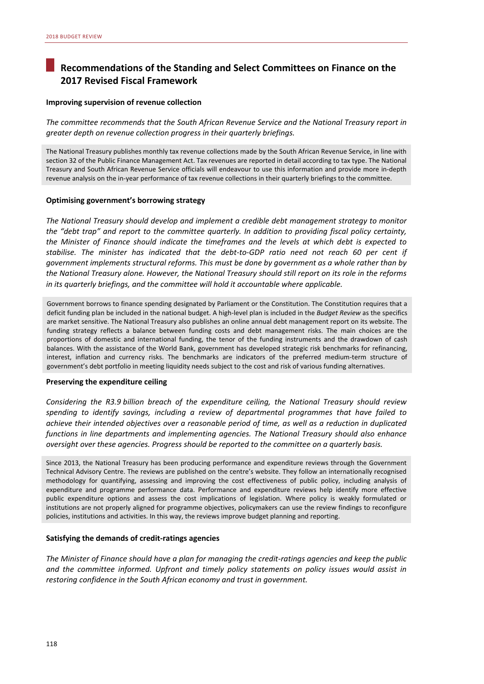# **Recommendations of the Standing and Select Committees on Finance on the 2017 Revised Fiscal Framework**

#### **Improving supervision of revenue collection**

*The committee recommends that the South African Revenue Service and the National Treasury report in greater depth on revenue collection progress in their quarterly briefings.* 

The National Treasury publishes monthly tax revenue collections made by the South African Revenue Service, in line with section 32 of the Public Finance Management Act. Tax revenues are reported in detail according to tax type. The National Treasury and South African Revenue Service officials will endeavour to use this information and provide more in-depth revenue analysis on the in-year performance of tax revenue collections in their quarterly briefings to the committee.

#### **Optimising government's borrowing strategy**

*The National Treasury should develop and implement a credible debt management strategy to monitor the "debt trap" and report to the committee quarterly. In addition to providing fiscal policy certainty, the Minister of Finance should indicate the timeframes and the levels at which debt is expected to stabilise. The minister has indicated that the debt-to-GDP ratio need not reach 60 per cent if government implements structural reforms. This must be done by government as a whole rather than by the National Treasury alone. However, the National Treasury should still report on its role in the reforms in its quarterly briefings, and the committee will hold it accountable where applicable.* 

Government borrows to finance spending designated by Parliament or the Constitution. The Constitution requires that a deficit funding plan be included in the national budget. A high-level plan is included in the *Budget Review* as the specifics are market sensitive. The National Treasury also publishes an online annual debt management report on its website. The funding strategy reflects a balance between funding costs and debt management risks. The main choices are the proportions of domestic and international funding, the tenor of the funding instruments and the drawdown of cash balances. With the assistance of the World Bank, government has developed strategic risk benchmarks for refinancing, interest, inflation and currency risks. The benchmarks are indicators of the preferred medium-term structure of government's debt portfolio in meeting liquidity needs subject to the cost and risk of various funding alternatives.

#### **Preserving the expenditure ceiling**

*Considering the R3.9 billion breach of the expenditure ceiling, the National Treasury should review spending to identify savings, including a review of departmental programmes that have failed to achieve their intended objectives over a reasonable period of time, as well as a reduction in duplicated functions in line departments and implementing agencies. The National Treasury should also enhance oversight over these agencies. Progress should be reported to the committee on a quarterly basis.* 

Since 2013, the National Treasury has been producing performance and expenditure reviews through the Government Technical Advisory Centre. The reviews are published on the centre's website. They follow an internationally recognised methodology for quantifying, assessing and improving the cost effectiveness of public policy, including analysis of expenditure and programme performance data. Performance and expenditure reviews help identify more effective public expenditure options and assess the cost implications of legislation. Where policy is weakly formulated or institutions are not properly aligned for programme objectives, policymakers can use the review findings to reconfigure policies, institutions and activities. In this way, the reviews improve budget planning and reporting.

#### **Satisfying the demands of credit-ratings agencies**

*The Minister of Finance should have a plan for managing the credit-ratings agencies and keep the public and the committee informed. Upfront and timely policy statements on policy issues would assist in restoring confidence in the South African economy and trust in government.*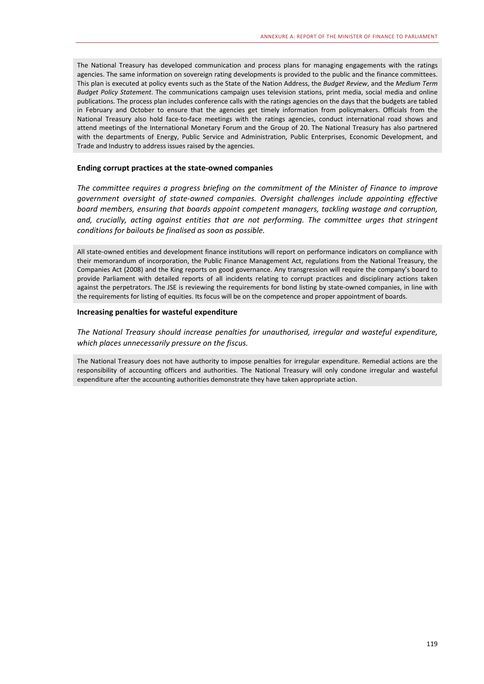The National Treasury has developed communication and process plans for managing engagements with the ratings agencies. The same information on sovereign rating developments is provided to the public and the finance committees. This plan is executed at policy events such as the State of the Nation Address, the *Budget Review*, and the *Medium Term Budget Policy Statement*. The communications campaign uses television stations, print media, social media and online publications. The process plan includes conference calls with the ratings agencies on the days that the budgets are tabled in February and October to ensure that the agencies get timely information from policymakers. Officials from the National Treasury also hold face-to-face meetings with the ratings agencies, conduct international road shows and attend meetings of the International Monetary Forum and the Group of 20. The National Treasury has also partnered with the departments of Energy, Public Service and Administration, Public Enterprises, Economic Development, and Trade and Industry to address issues raised by the agencies.

#### **Ending corrupt practices at the state-owned companies**

*The committee requires a progress briefing on the commitment of the Minister of Finance to improve government oversight of state-owned companies. Oversight challenges include appointing effective board members, ensuring that boards appoint competent managers, tackling wastage and corruption,*  and, crucially, acting against entities that are not performing. The committee urges that stringent *conditions for bailouts be finalised as soon as possible.* 

All state-owned entities and development finance institutions will report on performance indicators on compliance with their memorandum of incorporation, the Public Finance Management Act, regulations from the National Treasury, the Companies Act (2008) and the King reports on good governance. Any transgression will require the company's board to provide Parliament with detailed reports of all incidents relating to corrupt practices and disciplinary actions taken against the perpetrators. The JSE is reviewing the requirements for bond listing by state-owned companies, in line with the requirements for listing of equities. Its focus will be on the competence and proper appointment of boards.

#### **Increasing penalties for wasteful expenditure**

*The National Treasury should increase penalties for unauthorised, irregular and wasteful expenditure, which places unnecessarily pressure on the fiscus.* 

The National Treasury does not have authority to impose penalties for irregular expenditure. Remedial actions are the responsibility of accounting officers and authorities. The National Treasury will only condone irregular and wasteful expenditure after the accounting authorities demonstrate they have taken appropriate action.